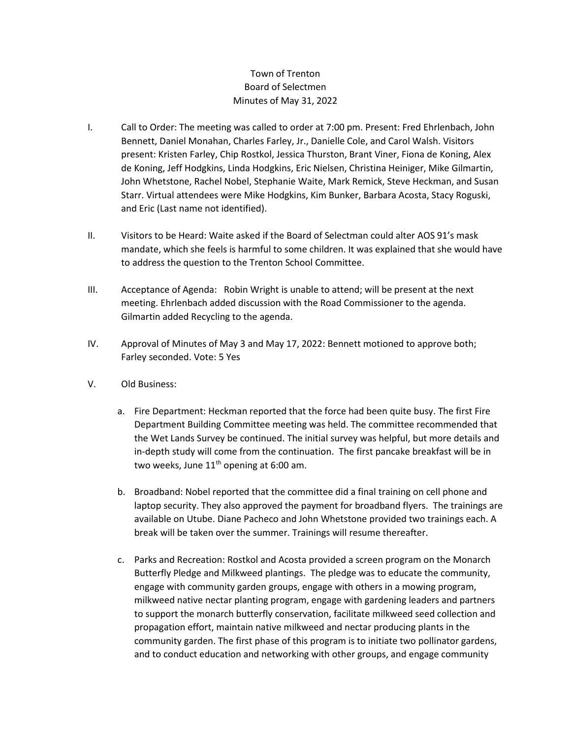## Town of Trenton Board of Selectmen Minutes of May 31, 2022

- I. Call to Order: The meeting was called to order at 7:00 pm. Present: Fred Ehrlenbach, John Bennett, Daniel Monahan, Charles Farley, Jr., Danielle Cole, and Carol Walsh. Visitors present: Kristen Farley, Chip Rostkol, Jessica Thurston, Brant Viner, Fiona de Koning, Alex de Koning, Jeff Hodgkins, Linda Hodgkins, Eric Nielsen, Christina Heiniger, Mike Gilmartin, John Whetstone, Rachel Nobel, Stephanie Waite, Mark Remick, Steve Heckman, and Susan Starr. Virtual attendees were Mike Hodgkins, Kim Bunker, Barbara Acosta, Stacy Roguski, and Eric (Last name not identified).
- II. Visitors to be Heard: Waite asked if the Board of Selectman could alter AOS 91's mask mandate, which she feels is harmful to some children. It was explained that she would have to address the question to the Trenton School Committee.
- III. Acceptance of Agenda: Robin Wright is unable to attend; will be present at the next meeting. Ehrlenbach added discussion with the Road Commissioner to the agenda. Gilmartin added Recycling to the agenda.
- IV. Approval of Minutes of May 3 and May 17, 2022: Bennett motioned to approve both; Farley seconded. Vote: 5 Yes
- V. Old Business:
	- a. Fire Department: Heckman reported that the force had been quite busy. The first Fire Department Building Committee meeting was held. The committee recommended that the Wet Lands Survey be continued. The initial survey was helpful, but more details and in-depth study will come from the continuation. The first pancake breakfast will be in two weeks, June  $11<sup>th</sup>$  opening at 6:00 am.
	- b. Broadband: Nobel reported that the committee did a final training on cell phone and laptop security. They also approved the payment for broadband flyers. The trainings are available on Utube. Diane Pacheco and John Whetstone provided two trainings each. A break will be taken over the summer. Trainings will resume thereafter.
	- c. Parks and Recreation: Rostkol and Acosta provided a screen program on the Monarch Butterfly Pledge and Milkweed plantings. The pledge was to educate the community, engage with community garden groups, engage with others in a mowing program, milkweed native nectar planting program, engage with gardening leaders and partners to support the monarch butterfly conservation, facilitate milkweed seed collection and propagation effort, maintain native milkweed and nectar producing plants in the community garden. The first phase of this program is to initiate two pollinator gardens, and to conduct education and networking with other groups, and engage community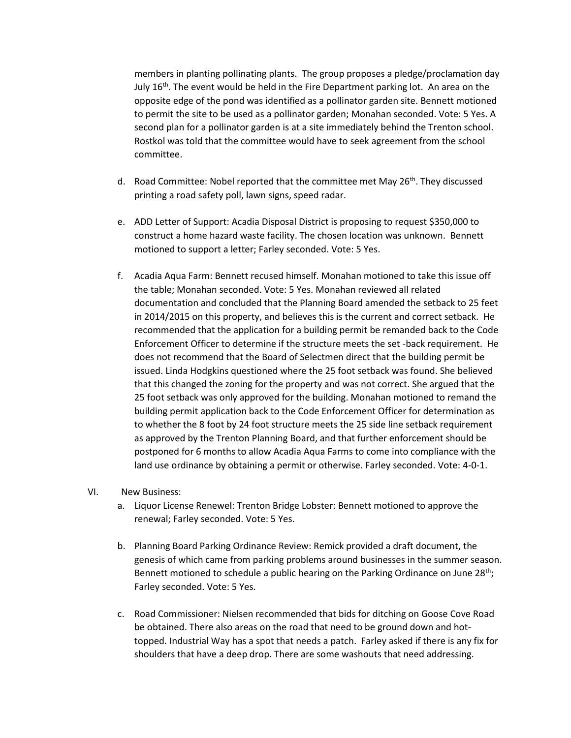members in planting pollinating plants. The group proposes a pledge/proclamation day July  $16<sup>th</sup>$ . The event would be held in the Fire Department parking lot. An area on the opposite edge of the pond was identified as a pollinator garden site. Bennett motioned to permit the site to be used as a pollinator garden; Monahan seconded. Vote: 5 Yes. A second plan for a pollinator garden is at a site immediately behind the Trenton school. Rostkol was told that the committee would have to seek agreement from the school committee.

- d. Road Committee: Nobel reported that the committee met May  $26<sup>th</sup>$ . They discussed printing a road safety poll, lawn signs, speed radar.
- e. ADD Letter of Support: Acadia Disposal District is proposing to request \$350,000 to construct a home hazard waste facility. The chosen location was unknown. Bennett motioned to support a letter; Farley seconded. Vote: 5 Yes.
- f. Acadia Aqua Farm: Bennett recused himself. Monahan motioned to take this issue off the table; Monahan seconded. Vote: 5 Yes. Monahan reviewed all related documentation and concluded that the Planning Board amended the setback to 25 feet in 2014/2015 on this property, and believes this is the current and correct setback. He recommended that the application for a building permit be remanded back to the Code Enforcement Officer to determine if the structure meets the set -back requirement. He does not recommend that the Board of Selectmen direct that the building permit be issued. Linda Hodgkins questioned where the 25 foot setback was found. She believed that this changed the zoning for the property and was not correct. She argued that the 25 foot setback was only approved for the building. Monahan motioned to remand the building permit application back to the Code Enforcement Officer for determination as to whether the 8 foot by 24 foot structure meets the 25 side line setback requirement as approved by the Trenton Planning Board, and that further enforcement should be postponed for 6 months to allow Acadia Aqua Farms to come into compliance with the land use ordinance by obtaining a permit or otherwise. Farley seconded. Vote: 4-0-1.

## VI. New Business:

- a. Liquor License Renewel: Trenton Bridge Lobster: Bennett motioned to approve the renewal; Farley seconded. Vote: 5 Yes.
- b. Planning Board Parking Ordinance Review: Remick provided a draft document, the genesis of which came from parking problems around businesses in the summer season. Bennett motioned to schedule a public hearing on the Parking Ordinance on June 28<sup>th</sup>; Farley seconded. Vote: 5 Yes.
- c. Road Commissioner: Nielsen recommended that bids for ditching on Goose Cove Road be obtained. There also areas on the road that need to be ground down and hottopped. Industrial Way has a spot that needs a patch. Farley asked if there is any fix for shoulders that have a deep drop. There are some washouts that need addressing.